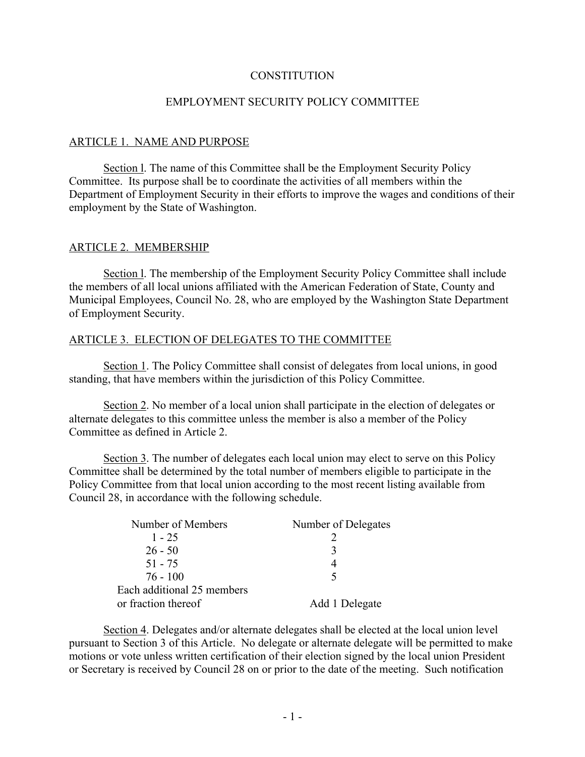### **CONSTITUTION**

### EMPLOYMENT SECURITY POLICY COMMITTEE

#### ARTICLE 1. NAME AND PURPOSE

Section l. The name of this Committee shall be the Employment Security Policy Committee. Its purpose shall be to coordinate the activities of all members within the Department of Employment Security in their efforts to improve the wages and conditions of their employment by the State of Washington.

#### ARTICLE 2. MEMBERSHIP

Section l. The membership of the Employment Security Policy Committee shall include the members of all local unions affiliated with the American Federation of State, County and Municipal Employees, Council No. 28, who are employed by the Washington State Department of Employment Security.

#### ARTICLE 3. ELECTION OF DELEGATES TO THE COMMITTEE

Section 1. The Policy Committee shall consist of delegates from local unions, in good standing, that have members within the jurisdiction of this Policy Committee.

Section 2. No member of a local union shall participate in the election of delegates or alternate delegates to this committee unless the member is also a member of the Policy Committee as defined in Article 2.

Section 3. The number of delegates each local union may elect to serve on this Policy Committee shall be determined by the total number of members eligible to participate in the Policy Committee from that local union according to the most recent listing available from Council 28, in accordance with the following schedule.

| Number of Members          | Number of Delegates |
|----------------------------|---------------------|
| $1 - 25$                   |                     |
| $26 - 50$                  |                     |
| $51 - 75$                  |                     |
| $76 - 100$                 | 5                   |
| Each additional 25 members |                     |
| or fraction thereof        | Add 1 Delegate      |

Section 4. Delegates and/or alternate delegates shall be elected at the local union level pursuant to Section 3 of this Article. No delegate or alternate delegate will be permitted to make motions or vote unless written certification of their election signed by the local union President or Secretary is received by Council 28 on or prior to the date of the meeting. Such notification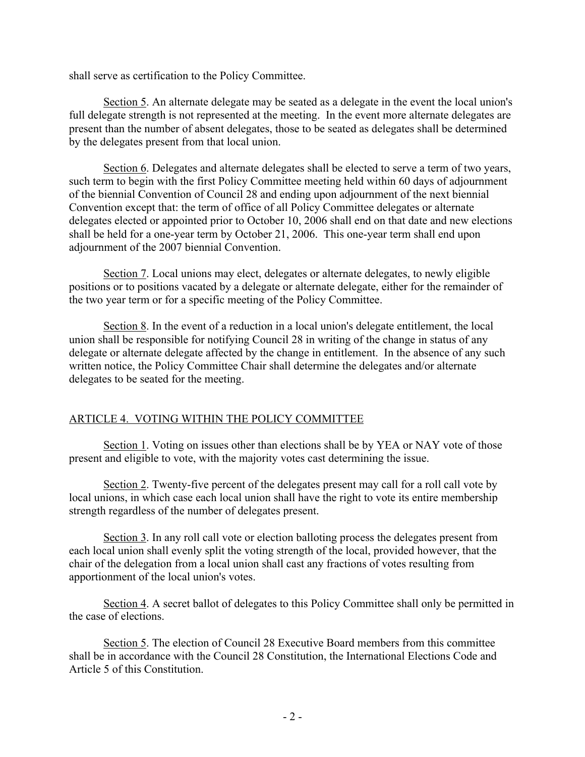shall serve as certification to the Policy Committee.

Section 5. An alternate delegate may be seated as a delegate in the event the local union's full delegate strength is not represented at the meeting. In the event more alternate delegates are present than the number of absent delegates, those to be seated as delegates shall be determined by the delegates present from that local union.

Section 6. Delegates and alternate delegates shall be elected to serve a term of two years, such term to begin with the first Policy Committee meeting held within 60 days of adjournment of the biennial Convention of Council 28 and ending upon adjournment of the next biennial Convention except that: the term of office of all Policy Committee delegates or alternate delegates elected or appointed prior to October 10, 2006 shall end on that date and new elections shall be held for a one-year term by October 21, 2006. This one-year term shall end upon adjournment of the 2007 biennial Convention.

Section 7. Local unions may elect, delegates or alternate delegates, to newly eligible positions or to positions vacated by a delegate or alternate delegate, either for the remainder of the two year term or for a specific meeting of the Policy Committee.

Section 8. In the event of a reduction in a local union's delegate entitlement, the local union shall be responsible for notifying Council 28 in writing of the change in status of any delegate or alternate delegate affected by the change in entitlement. In the absence of any such written notice, the Policy Committee Chair shall determine the delegates and/or alternate delegates to be seated for the meeting.

# ARTICLE 4. VOTING WITHIN THE POLICY COMMITTEE

Section 1. Voting on issues other than elections shall be by YEA or NAY vote of those present and eligible to vote, with the majority votes cast determining the issue.

Section 2. Twenty-five percent of the delegates present may call for a roll call vote by local unions, in which case each local union shall have the right to vote its entire membership strength regardless of the number of delegates present.

Section 3. In any roll call vote or election balloting process the delegates present from each local union shall evenly split the voting strength of the local, provided however, that the chair of the delegation from a local union shall cast any fractions of votes resulting from apportionment of the local union's votes.

Section 4. A secret ballot of delegates to this Policy Committee shall only be permitted in the case of elections.

Section 5. The election of Council 28 Executive Board members from this committee shall be in accordance with the Council 28 Constitution, the International Elections Code and Article 5 of this Constitution.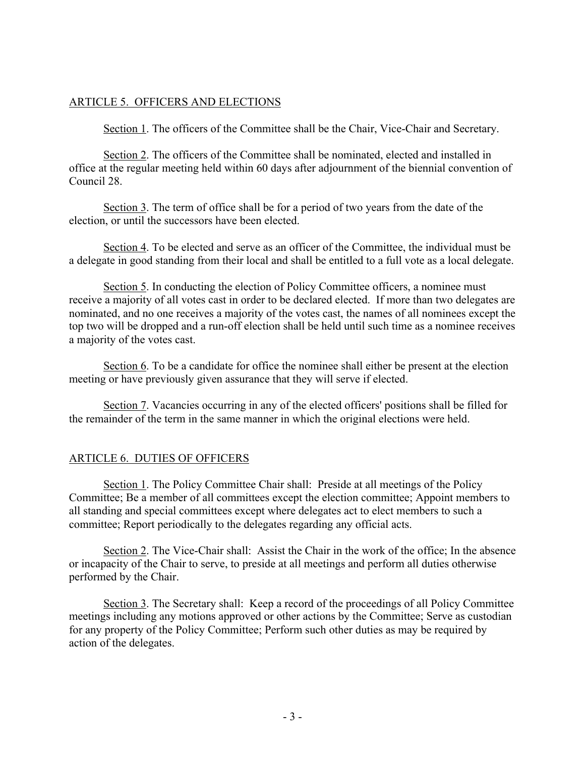# ARTICLE 5. OFFICERS AND ELECTIONS

Section 1. The officers of the Committee shall be the Chair, Vice-Chair and Secretary.

Section 2. The officers of the Committee shall be nominated, elected and installed in office at the regular meeting held within 60 days after adjournment of the biennial convention of Council 28.

Section 3. The term of office shall be for a period of two years from the date of the election, or until the successors have been elected.

Section 4. To be elected and serve as an officer of the Committee, the individual must be a delegate in good standing from their local and shall be entitled to a full vote as a local delegate.

Section 5. In conducting the election of Policy Committee officers, a nominee must receive a majority of all votes cast in order to be declared elected. If more than two delegates are nominated, and no one receives a majority of the votes cast, the names of all nominees except the top two will be dropped and a run-off election shall be held until such time as a nominee receives a majority of the votes cast.

Section 6. To be a candidate for office the nominee shall either be present at the election meeting or have previously given assurance that they will serve if elected.

Section 7. Vacancies occurring in any of the elected officers' positions shall be filled for the remainder of the term in the same manner in which the original elections were held.

# ARTICLE 6. DUTIES OF OFFICERS

Section 1. The Policy Committee Chair shall: Preside at all meetings of the Policy Committee; Be a member of all committees except the election committee; Appoint members to all standing and special committees except where delegates act to elect members to such a committee; Report periodically to the delegates regarding any official acts.

Section 2. The Vice-Chair shall: Assist the Chair in the work of the office; In the absence or incapacity of the Chair to serve, to preside at all meetings and perform all duties otherwise performed by the Chair.

Section 3. The Secretary shall: Keep a record of the proceedings of all Policy Committee meetings including any motions approved or other actions by the Committee; Serve as custodian for any property of the Policy Committee; Perform such other duties as may be required by action of the delegates.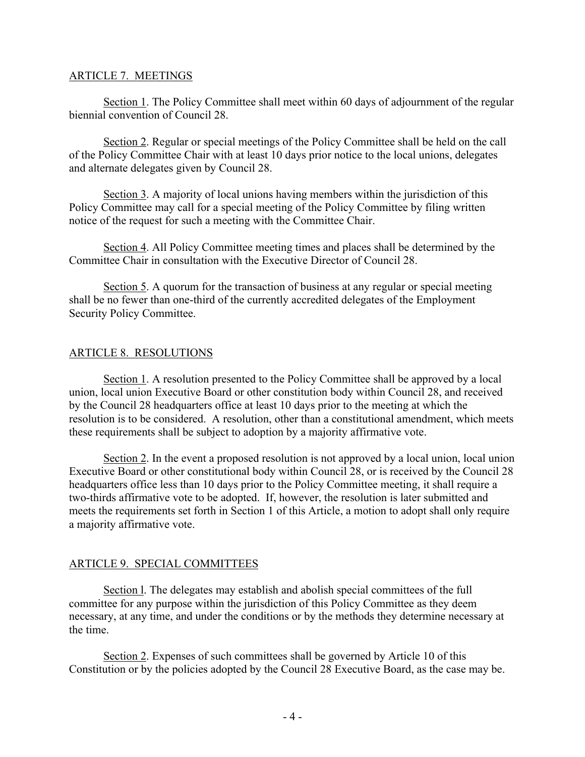### ARTICLE 7. MEETINGS

Section 1. The Policy Committee shall meet within 60 days of adjournment of the regular biennial convention of Council 28.

Section 2. Regular or special meetings of the Policy Committee shall be held on the call of the Policy Committee Chair with at least 10 days prior notice to the local unions, delegates and alternate delegates given by Council 28.

Section 3. A majority of local unions having members within the jurisdiction of this Policy Committee may call for a special meeting of the Policy Committee by filing written notice of the request for such a meeting with the Committee Chair.

Section 4. All Policy Committee meeting times and places shall be determined by the Committee Chair in consultation with the Executive Director of Council 28.

Section 5. A quorum for the transaction of business at any regular or special meeting shall be no fewer than one-third of the currently accredited delegates of the Employment Security Policy Committee.

### ARTICLE 8. RESOLUTIONS

Section 1. A resolution presented to the Policy Committee shall be approved by a local union, local union Executive Board or other constitution body within Council 28, and received by the Council 28 headquarters office at least 10 days prior to the meeting at which the resolution is to be considered. A resolution, other than a constitutional amendment, which meets these requirements shall be subject to adoption by a majority affirmative vote.

Section 2. In the event a proposed resolution is not approved by a local union, local union Executive Board or other constitutional body within Council 28, or is received by the Council 28 headquarters office less than 10 days prior to the Policy Committee meeting, it shall require a two-thirds affirmative vote to be adopted. If, however, the resolution is later submitted and meets the requirements set forth in Section 1 of this Article, a motion to adopt shall only require a majority affirmative vote.

### ARTICLE 9. SPECIAL COMMITTEES

Section l. The delegates may establish and abolish special committees of the full committee for any purpose within the jurisdiction of this Policy Committee as they deem necessary, at any time, and under the conditions or by the methods they determine necessary at the time.

Section 2. Expenses of such committees shall be governed by Article 10 of this Constitution or by the policies adopted by the Council 28 Executive Board, as the case may be.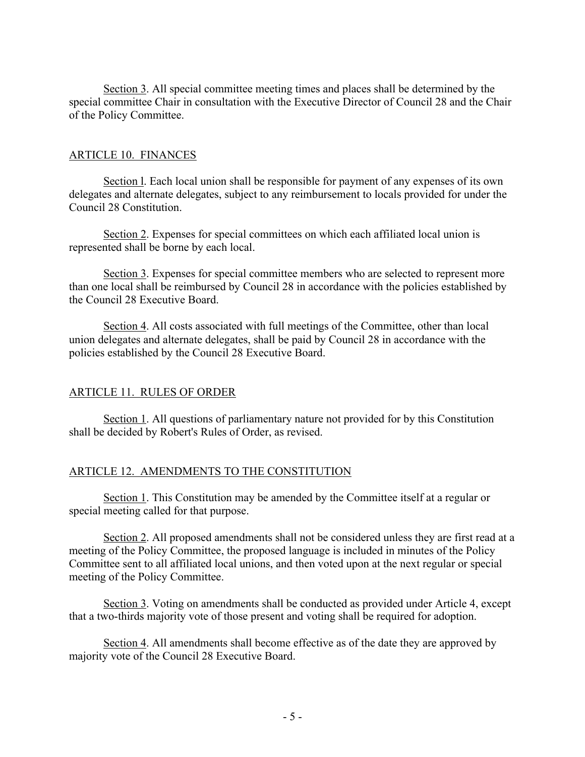Section 3. All special committee meeting times and places shall be determined by the special committee Chair in consultation with the Executive Director of Council 28 and the Chair of the Policy Committee.

### ARTICLE 10. FINANCES

Section l. Each local union shall be responsible for payment of any expenses of its own delegates and alternate delegates, subject to any reimbursement to locals provided for under the Council 28 Constitution.

Section 2. Expenses for special committees on which each affiliated local union is represented shall be borne by each local.

Section 3. Expenses for special committee members who are selected to represent more than one local shall be reimbursed by Council 28 in accordance with the policies established by the Council 28 Executive Board.

Section 4. All costs associated with full meetings of the Committee, other than local union delegates and alternate delegates, shall be paid by Council 28 in accordance with the policies established by the Council 28 Executive Board.

### ARTICLE 11. RULES OF ORDER

Section 1. All questions of parliamentary nature not provided for by this Constitution shall be decided by Robert's Rules of Order, as revised.

### ARTICLE 12. AMENDMENTS TO THE CONSTITUTION

Section 1. This Constitution may be amended by the Committee itself at a regular or special meeting called for that purpose.

Section 2. All proposed amendments shall not be considered unless they are first read at a meeting of the Policy Committee, the proposed language is included in minutes of the Policy Committee sent to all affiliated local unions, and then voted upon at the next regular or special meeting of the Policy Committee.

Section 3. Voting on amendments shall be conducted as provided under Article 4, except that a two-thirds majority vote of those present and voting shall be required for adoption.

Section 4. All amendments shall become effective as of the date they are approved by majority vote of the Council 28 Executive Board.